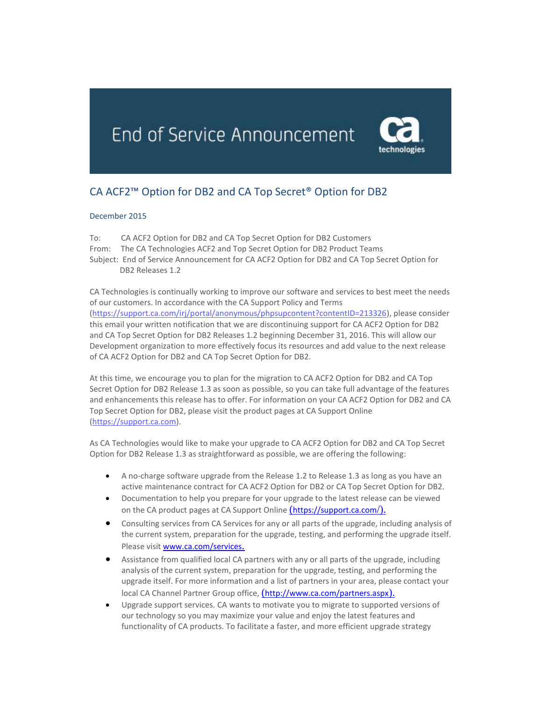End of Service Announcement



## CA ACF2™ Option for DB2 and CA Top Secret® Option for DB2

## December 2015

To: CA ACF2 Option for DB2 and CA Top Secret Option for DB2 Customers From: The CA Technologies ACF2 and Top Secret Option for DB2 Product Teams Subject: End of Service Announcement for CA ACF2 Option for DB2 and CA Top Secret Option for DB2 Releases 1.2

CA Technologies is continually working to improve our software and services to best meet the needs of our customers. In accordance with the CA Support Policy and Terms [\(https://support.ca.com/irj/portal/anonymous/phpsupcontent?contentID=213326\)](https://support.ca.com/irj/portal/anonymous/phpsupcontent?contentID=213326), please consider this email your written notification that we are discontinuing support for CA ACF2 Option for DB2 and CA Top Secret Option for DB2 Releases 1.2 beginning December 31, 2016. This will allow our Development organization to more effectively focus its resources and add value to the next release of CA ACF2 Option for DB2 and CA Top Secret Option for DB2.

At this time, we encourage you to plan for the migration to CA ACF2 Option for DB2 and CA Top Secret Option for DB2 Release 1.3 as soon as possible, so you can take full advantage of the features and enhancements this release has to offer. For information on your CA ACF2 Option for DB2 and CA Top Secret Option for DB2, please visit the product pages at CA Support Online [\(https://support.ca.com\)](https://support.ca.com/).

As CA Technologies would like to make your upgrade to CA ACF2 Option for DB2 and CA Top Secret Option for DB2 Release 1.3 as straightforward as possible, we are offering the following:

- A no-charge software upgrade from the Release 1.2 to Release 1.3 as long as you have an active maintenance contract for CA ACF2 Option for DB2 or CA Top Secret Option for DB2.
- Documentation to help you prepare for your upgrade to the latest release can be viewed on the CA product pages at CA Support Online *([https://support.ca.com](https://support.ca.com/)/).*
- Consulting services from CA Services for any or all parts of the upgrade, including analysis of the current system, preparation for the upgrade, testing, and performing the upgrade itself. Please visit [www.ca.com/services](http://www.ca.com/services).
- Assistance from qualified local CA partners with any or all parts of the upgrade, including analysis of the current system, preparation for the upgrade, testing, and performing the upgrade itself. For more information and a list of partners in your area, please contact your local CA Channel Partner Group office, (<http://www.ca.com/partners.aspx>).
- Upgrade support services. CA wants to motivate you to migrate to supported versions of our technology so you may maximize your value and enjoy the latest features and functionality of CA products. To facilitate a faster, and more efficient upgrade strategy